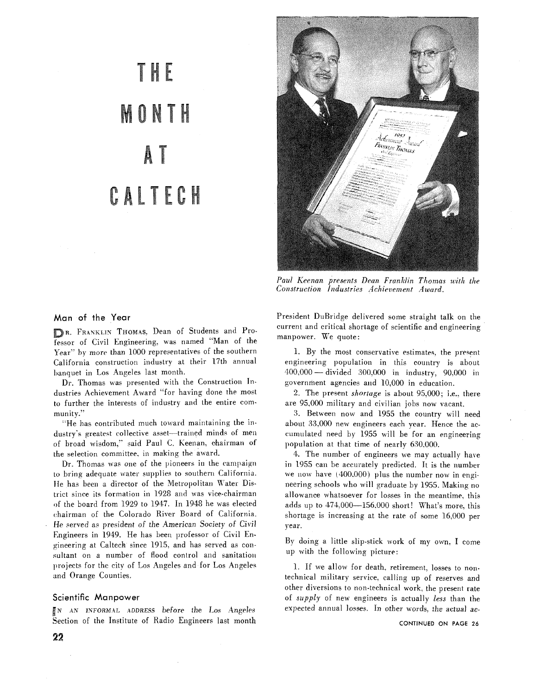# THE L MONTH A CALTECH



*Paul Keenan presents Dean Franklin Thomas with the Construction Industries Achievement Award.* 

## Man of the Year

**R.** FRANKLIN THOMAS. Dean of Students and Professor of Civil Engineering. was named "Man of the Year" **by** more than 1000 representatives of the southern California construction industry at their 17th annual banquet in Los Angeles last month.

 $Dr.$  Thomas was presented with the Construction Industries Achievement Award "for having done the most to further the interests of industry and the entire community."

"He has contributed much toward maintaining the industry's greatest collective asset-trained minds of men of broad wisdom," said Paul C. Keenan, chairman of the selection committee. in making the award.

Dr. Thomas was one of the pioneers in the campaign to bring; adequate water supplies to southern California. He has been a director of the Metropolitan Water Districi since ils formation in 1928 and was vice-chairman **)f** the board from 1929 to 1947. In 1948 he was elected chairman of the Colorado River Board of California. He served as president of the American Society of Civii Engineers in 1949. He has been professor of Civil Enpineering at Caltech since 1915. and has served as consultant on a number of flood control and sanitation projects for the city of Los Angeles and for Los Angeles and Orange Counties.

#### Scientific Manpower

?i' AN INFORMAL ADDRESS before the Los Angeles Section of the Institute of Radio Engineers last month President DuBridge delivered some straight talk on the current and critical shortage of scientific and engineering manpower. We quote:

1. By the most conservative estimates, the present engineering population in this country is about 1. By the most conservative estimates, the present<br>engineering population in this country is about<br>400,000 - divided 300,000 in industry, 90,000 in government agencies and 10,000 in education.

2. The present *shortage* is about 95,000; i.e.. there are 95,000 military and civilian jobs now vacant.

3. Between now and 1955 the country will need about 33.000 new engineers each year. Hence the accumulated need by 1955 will be for an engineering population at that time of nearly 630,000.

4. The number of engineers we may actually have in 1955 can be accurately predicted. It is the number we now have (400.000) plus the number now in engineering schools who will graduate by 1955. Making no allowance whatsoever for losses in the meantime. this adds up to 474,000-156,000 short! What's more, this shortage is increasing at the rate of some 16,000 per year.

By doing a little slip-stick work of my own. I come up with the following picture:

1. If we allow for death. retirement, losses to nontechnical military service. calling up of reserves and other diversions to non-technical work. the present rate of *supply* of new engineers is actually *less* than the expected annual losses. In other words. the actual ac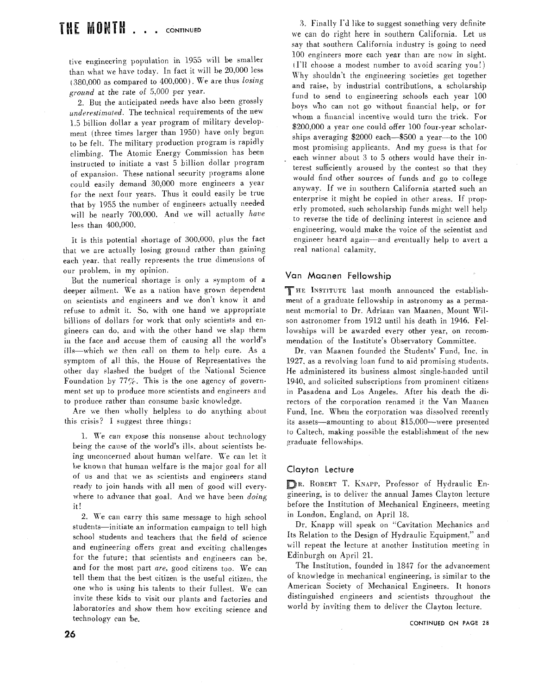tive engineering population in 1955 will be smaller than what we haxe today. In fact it will be 20.000 less (380,000 as compared to  $400,000$ ). We are thus losing ground at the rate of 5.000 per year.

2. But the anticipated needs have also been grossly underestimated. The technical requirements of the new 1.5 billion dollar a year program of military development (three times larger than 1950) have only begun to be felt. The military production program is rapidly climbing. The Atomic Energy Commission has been instructed to initiate a vast 5 billion dollar program of expansion. These national security programs alone could easily demand 30.000 more engineers a year for the next four years. Thus it could easily be true that by 1955 the number of engineers actually needed will be nearly 700,000. And we will actually have less than 400,000.

It is this potential shortage of *300.000.* plus the fact that we are actually losing ground rather than gaining each year. that really represents the true dimensions of our problem, in my opinion.

But the numerical shortage is only a symptom of a deeper ailment. We as a nation have grown dependent on scientists and engineers and we don't know it and refuse to admit it. So. with one hand we appropriate billions of dollars for work that only scientists and engineers can do, and with the other hand we slap them in the face and accuse them of causing all the world's ills—which we then call on them to help cure. As a symptom of all this. the House of Representatives the other day slashed the budget of the National Science Foundation by  $77\%$ . This is the one agency of government set up to produce more scientists and engineers and to produce rather than consume basic knowledge.

Are we then wholly helpless to do anything about this crisis'? I suggest three things:

1. We can expose this nonsense about technology being the cawe of the world's ills. about scientists being unconcerned about human welfare. We can let it be known that human welfare is the major goal for all of us and that we as scientists and engineers stand ready to join hands with all men of good will everywhere to advance that goal. And we have been *doing* it!

2. We can carry this same message to high school students-initiate an information campaign to tell high school students and teachers that the field of science and engineering offers great and exciting challenges for the future; that scientists and engineers can be. and for the most part *are.* good citizens too. We can tell them that the best citizen is the useful citizen. the one who is using his talents to their fullest. We can invite these kids to visit our plants and factories and laboratories and show them how exciting science and technology can be.

**3.** Finally I"J like to suggest something very definite we can do right here in southern California. Let us say that southern California industry is going to need 100 engineers more each year than are now in sight. I11 choose a modest number LO avoid scaring you!) Why shouldn't the engineering societies get together and raise, by industrial contributions. a scholarship fund to send to engineering schools each year 100 boys who can not go without financial help. or for whom a financial incentive would turn the trick. For 200.000 a year one could offer 100 four-year scholarships averaging  $$2000$  each- $$500$  a year-to the 100 most promising applicants. And my guess is that for . each winner about **3** to 5 others would have their interest sufficiently aroused by the contest so that they would find other sources of funds and go to college anyway. If we in southern California started such an enterprise it might be copied in other areas. If properly promoted, such scholarship funds might well help to reverse the tide of declining interest in science and engineering- would make the voice of the scientist and engineer heard again-and eventually help to avert a real national calamity.

## Van Maanen **Fellowship**

THE INSTITUTE last month announced the establishment of a graduate fellowship in astronomy as a permanent memorial to Dr. Adriaan van Maanen. Mount Wilson astronomer from 1912 until his death in 1946. Fellowships will be awarded every other year, on recommendation of the Institute's Observatory Committee.

Dr. van Maanen founded the Students' Fund. Inc. in 1927. as a revolving loan fund to aid promising students. He administered its business almost single-handed until 1940, and solicited subscriptions from prominent citizens in Pasadena and Los Angeles. After his death the directors of the corporation renamed it the Van Maanen Fund, Inc. When the corporation was dissolved recently its assets—amounting to about \$15,000—were presented to Caltech. making possible the establishment of the new graduate fellowships.

#### Clayton **Lecture**

R. ROBERT T. KNAPP, Professor of Hydraulic Engineering. is to deliver the annual James Clayton lecture before the Institution of Mechanical Engineers. meeting in London. England. on April 18.

Dr. Knapp will speak on "Cavitation Mechanics and Its Relation to the Design of Hydraulic Equipment." and will repeat the lecture at another Institution meeting in Edinburgh on April 21.

The Institution. founded in 1847 for the advancement of knowledge in mechanical engineering. is similar to the American Society of Mechanical Engineers. It honors distinguished engineers and scientists throughout the world by inviting them to deliver the Clayton lecture.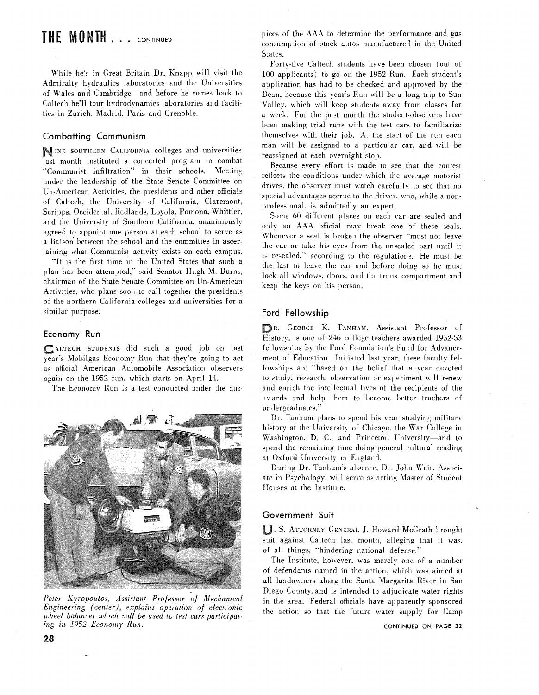# THE MONTH . . . CONTINUED

While he's in Great Britain Dr. Knapp will visit the Admiralty hydraulics laboratories and the Universities of Wales and Cambridge-and before he comes back to Caltech he'll tour hydrodynamics laboratories and facilities in Zurich. Madrid. Paris and Grenoble.

# Combatting Communism

NINE SOUTHERN CALIFORNIA colleges and universities last month instituted a concerted program to combat v~Communist infiltration"' in their schools. Meeting under the leadership of the State Senate Committee on Un-American Activities. the presidents and other officials of Caltech. the University of California. Claremont. Scripps. Occidental. Redlands. Loyola, Pomona. Whittier. and the University of Southern California, unanimously agreed to appoint one person at each school to serve as a liaison between the school and the committee in ascertaining what Communist activity exists on each campus.

"It is the first time in the United States that such a plan has been attempted," said Senator Hugh M. Burns. chairman of the State Senate Committee on Un-American Activities. who plans soon to call together the presidents of the northern California colleges and universities for a similar purpose.

#### Economy Run

CALTECH STUDENTS did such a good job on last year's Mobilgas Economy Run that they're going to act as official American Automobile Association observers again on the 1952 run. which starts on April 14.

The Economy Run is a test conducted under the aus-



Peter Kyropoulos, Assistant Professor of Mechanical *Engineering, (center), explains operation of electronic*  wheel balancer which will be used to test cars participating in 1952 Economy Run.

pices of the AAA to determine the performance and gas consumption of stock autos manufactured in the United States.

Forty-five Caltech students have been chosen (out of 100 applicants) to go on the 1952 Run. Each student's application has had to be checked and approved by the Dean. because this year's Run viill be a long trip to Sun Valley. which will keep students away from classes for a week. For the past month the student-observers have been making trial runs with the test cars to familiarize themselves with their job. At the start of the run each man will be assigned to a particular car. and will be reassigned at each overnight stop.

Because every effort is made to see that the contest reflects the conditions under which the average motorist drives. the observer must watch carefully to see that no special advantages accrue to the driver, who, while a nonprofessional. is admittedly an expert.

Some 60 different places on each car are sealed and only an AAA official may break one of these seals. Whenever a seal is broken the observer "must not leave the car or take his eyes from the unsealed part until it is resealed," according to the regulations. He must be the last to leave the car and before doing so he must lock all windows. doors. and the trunk compartment and kezp the keys on his person.

#### Ford Fellowship

R. GEORGE K. TANHAM. Assistant Professor of History, is one of 246 college teachers awarded 1952-53 fellowships by the Ford Foundation's Fund for Advancemeni of Education. Initiated last year. these faculty fellowships are "hased on the belief that a year devoted to study, research, observation or experiment will renew and enrich the intellectual lives of the recipients of the awards and help them to become better teachers of undergraduates.'

Dr. Tanham plans to spend his year studying military history at the University of Chicago. the War College in Washington, D. C., and Princeton University-and to spend the remaining time doing general cultural reading at Oxford University in England.

During Dr. Tanhani's absence. Dr. John Weir. Associate in Psychology. will serve as acting Master of Student Houses at the Institute.

#### Government Suit

**II. S. ATTORNEY GENERAL J. Howard McGrath brought** suit against Caltech last month. alleging that it was. of all things. "hindering national defense."

The Institute. however. was merely one of a number of defendants named in the action. which was aimed at all landowners along the Santa Margarita River in San Diego County, and is intended to adjudicate water rights in the area. Federal officials have apparently sponsored the action 30 that the future water supply for Camp

CONTINUED ON PAGE 32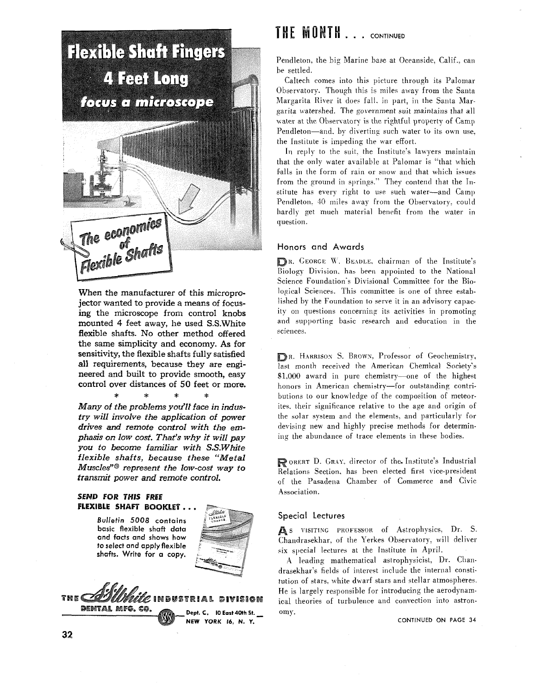

When the manufacturer of this microprojector wanted to provide a means of focusing the microscope from control knobs mounted 4 feet away, **he** used S.S.White flexible shafts. No other method offered the same simplicity and economy. As for sensitivity, the flexible shafts fully satisfied all requirements, because they are engineered and built to provide smooth, easy control over distances of 50 feet or more.

\* \* \* \* Many of the problems you'll face in industry will involve the application of power drives and remote control with the emphasis on low cost. That's why it will pay you to become familiar with S.S.White flexible shafts, because these "Metal Muscles"@ represent the low-cost way to *transmit* power and remote control.

## **SEND FOR THIS FREE** FLEXIBLE SHAFT BOOKLET...

**Bulletin 5008 contains basic flexible shaft data and facts and shows how to select and apply flexible shafts. Write for a copy.** 





# **THE MONTH....** CONTINUED

Pendleton. the big Marine base at Oceanside. Calif.. can be settled.

Caltech comes into this picture through its Palomar Observatory. Though this is miles away from the Santa Margarita River it does fall, in part, in the Santa Margarita watershed. The government suit maintains that all water at the Observatory is the rightful property of Camp Pendleton-and, by diverting such water to its own use. the Institute is impeding the war effort.

In reply to the suit, the Institute's lawyers maintain that the only water available at Palomar is "that which falls in the form of rain or snow and that which issues from the ground in springs." They contend that the Institute has every right to use such water-and Camp Pendleton. 40 miles away from the Observatory, could hardly get much material benefit from the water in question.

# Honors and Awards

R. GEORGE **IK.** BEIDLE, chairman of the Institute's Biology Division, has been appointed to the National Science Foundation's Divisional Committee for the Biological Sciences. This committee is one of three established by the Foundation to serve it in an advisory capacity on questions concerning its activities in promoting and supporting basic research and education in the sciences.

BR. HARRISON S. BROWN, Professor of Geochemistry. last month received the American Chemical Society's Sl.000 award in pure chemistry-one of the highest honors in American chemistry-for outstanding contributions to our knowledge of the composition of meteorites. their significance relative to the age and origin of the solar system and the elements, and particularly for devising new and highly precise methods for determining the abundance of trace elements in these bodies.

( OBERT D. GRAI. director of the. Institute's Industrial Relations Section, has been elected first vice-president of the Pasadena Chamber of Commerce and Civic Association.

# Special Lectures

As VISITING PROFESSOR of Astrophysics, Dr. S. Chandrasekhar, of the Yerkes Observatory. will deliver six special lectures at the Institute in April.

A leading mathematical astrophysicist. Dr. Chandrasekhar's fields of interest include the internal constitution of stars. white dwarf stars and stellar atmospheres. He is largely responsible for introducing the aerodynamical theories of turbulence and convection into astronomy.

**CONTINUED ON PAGE 34**